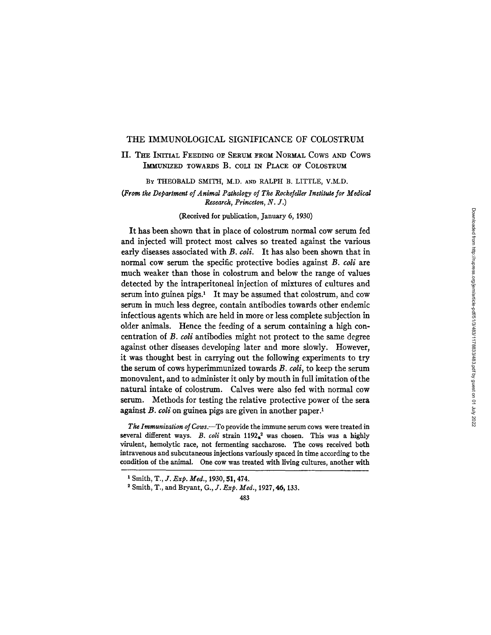#### THE IMMUNOLOGICAL SIGNIFICANCE OF COLOSTRUM

### II. Taz INITIAL FEEDING OF SERUM FROM NORMAL Cows AND COWS IMMUNIZED TOWARDS B. COLI IN PLACE OF COLOSTRUM

BY THEOBALD SMITH, M.D. AND RALPH B. LITTLE, V.M.D.

### *(From the Department of Animal Pathology of The Rockefeller Institute for Medical Research, Princeton, N. J.)*

### (Received for publication, January 6, 1930)

It has been shown that in place of colostrum normal cow serum fed and injected will protect most calves so treated against the various early diseases associated with *B. coli.* It has also been shown that in normal cow serum the specific protective bodies against *B. coli* are much weaker than those in colostrum and below the range of values detected by the intraperitoneal injection of mixtures of cultures and serum into guinea pigs. $\frac{1}{1}$  It may be assumed that colostrum, and cow serum in much less degree, contain antibodies towards other endemic infectious agents which are held in more or less complete subjection in older animals. Hence the feeding of a serum containing a high concentration of *B. coli* antibodies might not protect to the same degree against other diseases developing later and more slowly. However, it was thought best in carrying out the following experiments to try the serum of cows hyperimmunized towards *B. coli,* to keep the serum monovalent, and to administer it only by mouth in full imitation of the natural intake of colostrum. Calves were also fed with normal cow serum. Methods for testing the relative protective power of the sera against *B. coli* on guinea pigs are given in another paper.<sup>1</sup>

*The Immunization of Cows.--To* provide the immune serum cows were treated in several different ways. *B. coli* strain  $1192<sub>a</sub><sup>2</sup>$  was chosen. This was a highly virulent, hemolytic race, not fermenting saccharose. The cows received both intravenous and subcutaneous injections variously spaced in time according to the condition of the animal. One cow was treated with living cultures, another with

x Smith, *T., J. Exp. Med.,* 1930, 51,474.

<sup>2</sup> Smith, T., and Bryant, *G., J. Exp. Med.,* 1927, 46, 133.

<sup>483</sup>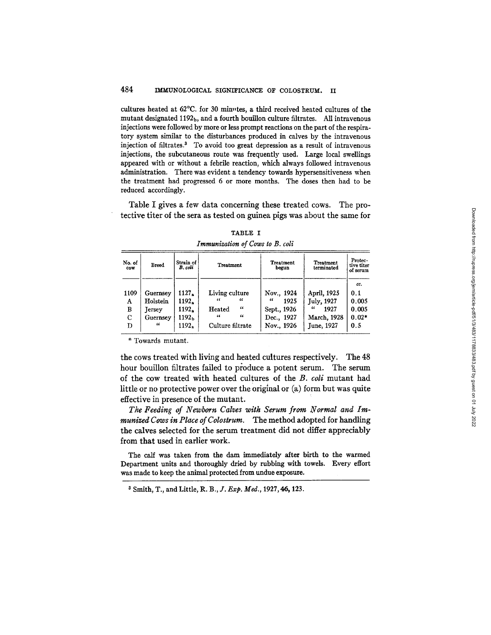cultures heated at 62°C. for 30 minutes, a third received heated cultures of the mutant designated 1192<sub>b</sub>, and a fourth bouillon culture filtrates. All intravenous injections were followed by more or less prompt reactions on the part of the respiratory system similar to the disturbances produced in calves by the intravenous injection of filtrates.<sup>3</sup> To avoid too great depression as a result of intravenous injections, the subcutaneous route was frequently used. Large local swellings appeared with or without a febrile reaction, which always followed intravenous administration. There was evident a tendency towards hypersensitiveness when the treatment had progressed 6 or more months. The doses then had to be reduced accordingly.

Table I gives a few data concerning these treated cows. The protective titer of the sera as tested on guinea pigs was about the same for

| No. of<br><b>COW</b> | <b>Breed</b>                                      | Strain of<br>B. coli             | Treatment                                                           | <b>Treatment</b><br>begun                                     | Treatment<br>terminated                                      | Protec-<br>tive titer<br>of serum       |
|----------------------|---------------------------------------------------|----------------------------------|---------------------------------------------------------------------|---------------------------------------------------------------|--------------------------------------------------------------|-----------------------------------------|
| 1109<br>A<br>B<br>C  | Guernsey<br>Holstein<br><b>Tersey</b><br>Guernsey | 1127,<br>1192.<br>1192.<br>1192ь | Living culture<br>"<br>"<br>"<br>Heated<br>$\epsilon$<br>$\epsilon$ | Nov., 1924<br>$\epsilon$<br>1925<br>Sept., 1926<br>Dec., 1927 | April, 1925<br><b>July, 1927</b><br>"<br>1927<br>March, 1928 | cc.<br>0.1<br>0.005<br>0.005<br>$0.02*$ |
| Ð                    | "                                                 | 1192.                            | Culture filtrate                                                    | Nov., 1926                                                    | June, 1927                                                   | 0.5                                     |

TABLE I *Immunization of Cows to B. coll* 

\* Towards mutant.

the cows treated with living and heated cultures respectively. The 48 hour bouillon filtrates failed to produce a potent serum. The serum of the cow treated with heated cultures of the *B. coli* mutant had little or no protective power over the original or (a) form but was quite effective in presence of the mutant.

*The Feeding of Newborn Calves with Serum from Normal and [mmunized Cows in Place of Colostrum.* The method adopted for handling the calves selected for the serum treatment did not differ appreciably from that used in earlier work.

The calf was taken from the dam immediately after birth to the warmed Department units and thoroughly dried by rubbing with towels. Every effort was made to keep the animal protected from undue **exposure.** 

z Smith, T., and Little, R. B., *Y. Exp. Med.,* 1927, 46, 123.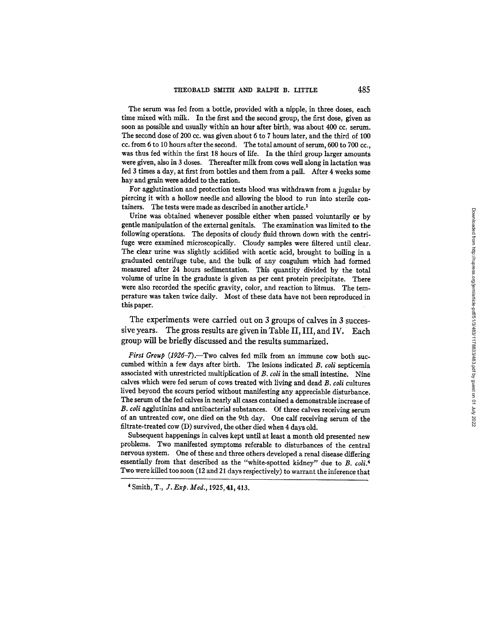The serum was fed from a bottle, provided with a nipple, in three doses, each time mixed with milk. In the first and the second group, the first dose, given as soon as possible and usually within an hour after birth, was about 400 cc. serum. The second dose of 200 cc. was given about 6 to 7 hours later, and the third of 100 cc. from 6 to 10 hours after the second. The total amount of serum, 600 to 700 cc., was thus fed within the first 18 hours of life. In the third group larger amounts were given, also in 3 doses. Thereafter milk from cows well along in lactation was fed 3 times a day, at first from bottles and them from a pail. After 4 weeks some hay and grain were added to the ration.

For agglutination and protection tests blood was withdrawn from a jugular by piercing it with a hollow needle and allowing the blood to run into sterile containers. The tests were made as described in another article. 1

Urine was obtained whenever possible either when passed voluntarily or by gentle manipulation of the external genitals. The examination was limited to the following operations. The deposits of cloudy fluid thrown down with the centrifuge were examined microscopically. Cloudy samples were filtered until clear. The clear urine was slightly acidified with acetic acid, brought to boiling in a graduated centrifuge tube, and the bulk of any coagulum which had formed measured after 24 hours sedimentation. This quantity divided by the total volume of urine in the graduate is given as per cent protein precipitate. There were also recorded the specific gravity, color, and reaction to litmus. The temperature was taken twice daily. Most of these data have not been reproduced in this paper.

The experiments were carried out on 3 groups of calves in 3 successive **years. The gross results are given in Table II, III, and IV. Each**  group will be briefly discussed and the results summarized.

*First Group (1926-7).*—Two calves fed milk from an immune cow both succumbed within a few days after birth. The lesions indicated *B. coli* septicemia associated with unrestricted multiplication of *B. coli* in the small intestine. Nine calves which were fed serum of cows treated with living and dead *B. coli* cultures lived beyond the scours period without manifesting any appreciable disturbance. The serum of the fed calves in nearly aU cases contained a demonstrable increase of *B. ¢oli* aggiutinins and antibacterial substances. Of three calves receiving serum of an untreated cow, one died on the 9th day. One calf receiving serum of the filtrate-treated cow (D) survived, the other died when 4 days old.

Subsequent happenings in calves kept until at least a month old presented new problems. Two manifested symptoms referable to disturbances of the central nervous system. One of these and three others developed a renal disease differing essentially from that described as the "white-spotted kidney" due to *B. coli.<sup>4</sup>* Two were killed too soon (12 and 21 days respectively) to warrant the inference that

<sup>4</sup> Smith, T., *J. Exp. Med.,* 1925, 41,413.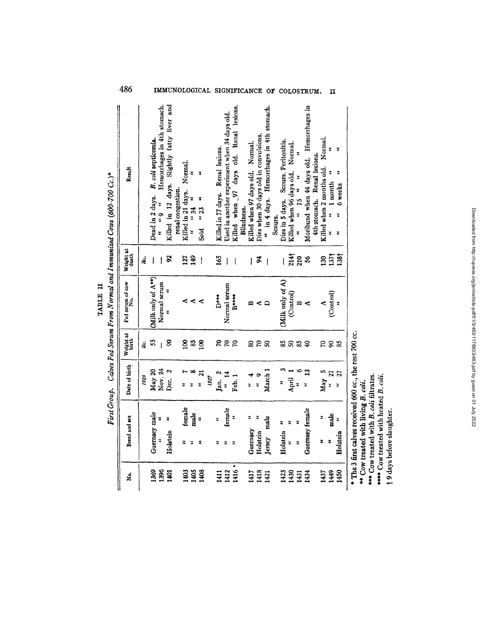|          | OULTON Since Nowal cash I can I conce (COV) in the Conce of Co |
|----------|----------------------------------------------------------------|
|          |                                                                |
|          |                                                                |
|          |                                                                |
| TABLE II |                                                                |
|          |                                                                |
|          |                                                                |
|          |                                                                |

|      |                                                         |                                 |                    |                                     |                    | First Group. Calves Fed Serum From Normal and Immunized Cows (600-700 Cc.)* |
|------|---------------------------------------------------------|---------------------------------|--------------------|-------------------------------------|--------------------|-----------------------------------------------------------------------------|
| ż    | Breed and sex                                           | Date of birth                   | Weight at<br>birth | Fed serum of cow                    | Weight at<br>death | Result                                                                      |
|      |                                                         | 1926                            | ıb.                |                                     | ib.                |                                                                             |
| 1369 | Guernsey male                                           | May 20                          | SS,                | $(M$ ilk only of $A^{**}$ )         | ł                  | B. coli septicemia.<br>Dead in 2 days.                                      |
| 1396 | ¥                                                       | Nov. 24                         | $\overline{1}$     | Normal serum                        | I                  | Hemorrhages in 4th stomach.<br>š<br>$\ddot{a}$                              |
| 1401 | $\frac{3}{2}$<br>Holstein                               | $\mathbf{\hat{z}}$<br>.<br>Dec. | g                  | ă                                   | X                  | Killed in 12 days. Slightly fatty liver and                                 |
|      |                                                         |                                 |                    |                                     |                    | renal congestion.                                                           |
| 1403 | female<br>嵩                                             | ă                               | g)                 |                                     | 127                | Normal.<br>Killed in 21 days.                                               |
| 1405 | male<br><br>¥                                           | $\infty$                        | $33\,$             | $\triangle$ $\triangle$ $\triangle$ | 149                | š<br>"34                                                                    |
| 1408 | ă                                                       | $\overline{\mathbf{z}}$<br>ă    | <u>ිප</u>          |                                     | $\mathfrak{f}$     | þ,<br>$\ddot{\phantom{0}}$<br>$\cdots$ 23<br>Sold                           |
|      |                                                         | 1927                            |                    |                                     |                    |                                                                             |
| 1411 | ង                                                       | $\mathbf{a}$<br>Jan.            |                    | D <sup>***</sup>                    | 165                | Killed in 77 days. Renal lesions.                                           |
| 1412 | female<br>ತ: ಪ                                          | 14<br>u.                        |                    | Normal serum                        | I                  | Used in another experiment when 34 days old.                                |
| 1416 | š                                                       | Feh.1                           | 222                | $B***$                              | $\mathbf{l}$       | days old. Renal lesions.<br>Killed when 97                                  |
|      |                                                         |                                 |                    |                                     |                    | Blindness.                                                                  |
| 1417 | ă<br>Guernsey                                           | ∢<br>¥                          |                    | ₽                                   | I                  | Killed when 97 days old. Normal.                                            |
| 1418 | ¥<br>Holstein                                           | ¥                               | <u>ន ខ</u>         | ⋖                                   | \$                 | Dies when 30 days old in convulsions.                                       |
| 1421 | male<br>Jersey                                          | March <sup>1</sup>              | ន                  | $\Box$                              | $\mathbf{I}$       | in 4 days. Hemorrhages in 4th stomach.<br>$\ddot{ }$                        |
|      |                                                         |                                 |                    |                                     |                    | Scours.                                                                     |
| 1423 | ž<br>Holstein                                           | 4                               | 33                 | (Milk only of A)                    | $\mathbb{I}$       | Dies in 5 days. Scours. Peritonitis.                                        |
| 1430 | ¥.<br>3                                                 | April                           | <b>SS</b>          | (Control)                           | 214†               | Killed when 96 days old. Normal.                                            |
| 1431 | ¥                                                       | ۰<br>Į.                         |                    | $\approx$ $\leq$                    | 210                | ž<br>$75$ $\alpha$<br>$\ddot{ }$                                            |
| 1434 | Guernsey female                                         | 13<br>$\ddot{a}$                | $\mathbf{Q}$       |                                     | న                  | Moribund when 44 days old. Hemorrhages in                                   |
|      |                                                         |                                 |                    |                                     |                    | 4th stomach. Renal lesions.                                                 |
| 1437 | ă<br>z                                                  | ŋ<br>May                        | $\mathbb{R}$       | $\triangleleft$                     | 130                | Killed when 2 months old. Normal.                                           |
| 1449 | male<br>š                                               | 27<br>$\ddot{ }$                | 88                 | (Control)                           |                    | $\ddot{ }$<br>1 month<br>¥                                                  |
| 1450 | 3<br>Holstein                                           | 27<br>ă                         |                    | $\ddot{v}$                          | 1371<br>1381       | ¥<br>ă<br>6 weeks<br>ă<br>ĭ                                                 |
|      | * The 3 first calves received 600 cc., the rest 700 cc. |                                 |                    |                                     |                    |                                                                             |
|      | *** Cow treated with living B. coli.                    |                                 |                    |                                     |                    |                                                                             |
|      | **** Cow treated with B. coli filtrates.                |                                 |                    |                                     |                    |                                                                             |
|      | ***** Cow treated with heated B. coli                   |                                 |                    |                                     |                    |                                                                             |

486 **IMMUNOLOGICAL SIGNIFICANCE OF COLOSTRUM.** II

† 9 days before slaughter.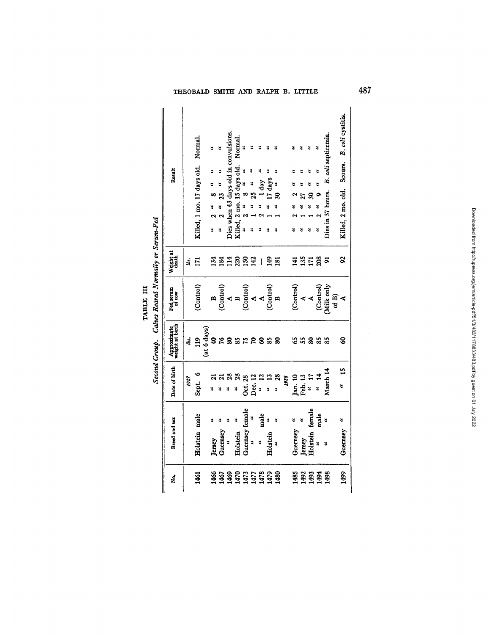# THEOBALD SMITH AND RALPH B. LITTLE **487**

| ż.                                                       | Breed and sex                     | Date of birth   | Approximate<br>weight at birth | Fed serum<br>of $\cos$                                                                                                                                                                          | Weight at<br>death                    | Result                                       |
|----------------------------------------------------------|-----------------------------------|-----------------|--------------------------------|-------------------------------------------------------------------------------------------------------------------------------------------------------------------------------------------------|---------------------------------------|----------------------------------------------|
|                                                          |                                   | 1927            | 1bi.                           |                                                                                                                                                                                                 | lbs.                                  |                                              |
| 1461                                                     | Holstein male                     | Sept. 6         | $\frac{19}{2}$                 | (Control)                                                                                                                                                                                       | <b>E41</b>                            | Killed, 1 mo. 17 days old. Normal.           |
|                                                          |                                   |                 | (at 6 days)                    |                                                                                                                                                                                                 |                                       |                                              |
|                                                          | 3<br>Jersey                       | 3               |                                |                                                                                                                                                                                                 | 134                                   | 2<br>ž                                       |
|                                                          | <b>Guernsey</b>                   | $\mathbf{z}$    | 9 X                            |                                                                                                                                                                                                 | 184                                   | $\frac{u}{23}$                               |
|                                                          | u<br>U                            |                 |                                |                                                                                                                                                                                                 |                                       | Dies when 43 days old in convulsions.        |
| 1466<br>1467 1472<br>1471 1472<br>1480 1481<br>1480 1481 | ¥<br>Holstein                     | 3               | 8852                           | $\begin{array}{c} \mathbf{B} \\ (\text{Control}) \\ \mathbf{A} \\ \mathbf{B} \\ (\text{Control}) \\ (\text{Control}) \\ \mathbf{A} \\ \mathbf{A} \\ (\text{Control}) \\ \mathbf{B} \end{array}$ | <b>HAS2#</b>                          | Normal<br>Killed, 2 mo. 15 days old.         |
|                                                          | Guernsey female<br>"              | Oct. 28         |                                |                                                                                                                                                                                                 |                                       | ă<br>$\infty$                                |
|                                                          |                                   | Dec. 12         |                                |                                                                                                                                                                                                 |                                       | 4<br>25                                      |
|                                                          | male<br>¥                         | 2<br>$\ddot{a}$ | $8*8$                          |                                                                                                                                                                                                 | $\begin{array}{c} \hline \end{array}$ | day                                          |
|                                                          | š<br>Holstein                     | ž               |                                |                                                                                                                                                                                                 | 181                                   | ะ<br>days                                    |
|                                                          | ¥<br>₹                            | 28<br>4         |                                |                                                                                                                                                                                                 |                                       |                                              |
|                                                          |                                   | 1928            |                                |                                                                                                                                                                                                 |                                       |                                              |
|                                                          | ž<br>Guernsey                     | fan. 10         |                                |                                                                                                                                                                                                 |                                       |                                              |
|                                                          | Jersey                            | Feb. 13         |                                | $\begin{array}{c} \text{(Control)}\\ A\\ A\\ \end{array}$                                                                                                                                       |                                       |                                              |
|                                                          | Holstein female                   | $\frac{1}{2}$   |                                |                                                                                                                                                                                                 |                                       |                                              |
| <b>28234</b>                                             | male<br>"<br>$\ddot{\phantom{a}}$ | $\frac{14}{14}$ | 32833                          |                                                                                                                                                                                                 | <b>포음</b> 드 영 의                       | 3                                            |
| 1498                                                     | 3                                 | March 14        |                                | (Control)<br>(Milk only                                                                                                                                                                         |                                       | Dies in 37 hours. B. coli septicemia.        |
|                                                          |                                   |                 |                                | of $B$ )                                                                                                                                                                                        |                                       |                                              |
| 1499                                                     | Guernsey "                        | $\frac{15}{15}$ | 8                              |                                                                                                                                                                                                 | $\boldsymbol{\mathcal{S}}$            | Killed, 2 mo. old. Scours. B. coli cystitis. |

|                        | į                                                |
|------------------------|--------------------------------------------------|
| H<br>.<br><b>AJBLE</b> | ֧֧֦֧֦֧֢ׅ֧֧֧֧֦֧֧֧֚֚֚֚֚֚֚֚֚֚֚֚֚֚֚֚֚֚֚֚֚֚֚֝֓֡֓֓֓֡֓֓ |
|                        |                                                  |
|                        |                                                  |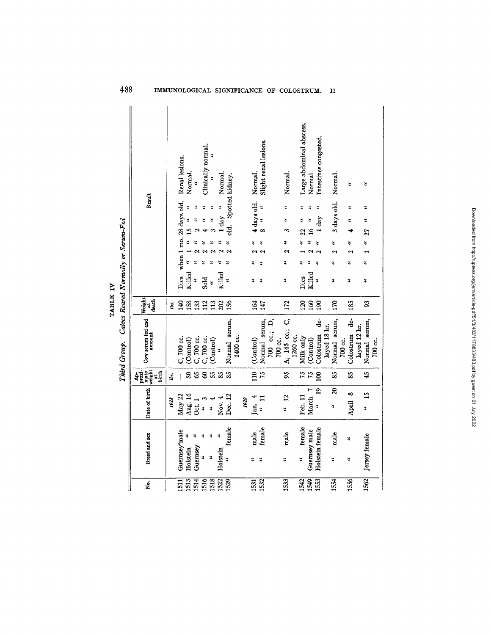TABLE IV

## 488 IMMUNOLOGICAL SIGNIFICANCE OF COLOSTRUM. II

Downloaded from http://rupress.org/jem/article-pdff51/3/483/1178833483.pdf by guest on 01 July 2022 Downloaded from http://rupress.org/jem/article-pdf/51/3/483/1178833/483.pdf by guest on 01 July 2022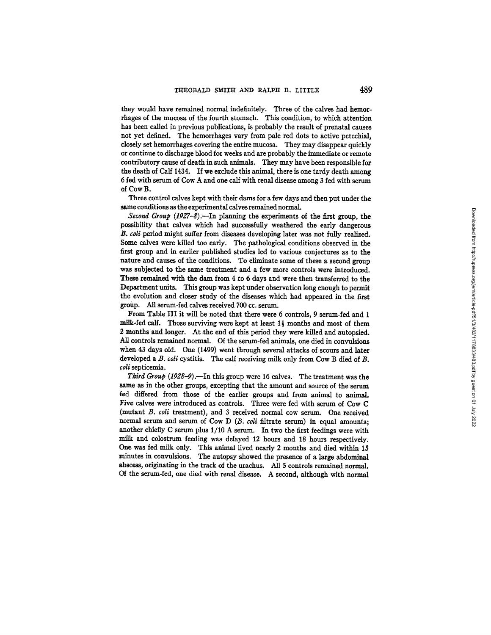they would have remained normal indefinitely. Three of the calves had hemorrhages of the mucosa of the fourth stomach. This condition, to which attention has been called in previous publications, is probably the result of prenatal causes not yet defined. The hemorrhages vary from pale red dots to active petechial, closely set hemorrhages covering the entire mucosa. They may disappear quickly or continue to discharge blood for weeks and are probably the immediate or remote contributory cause of death in such animals. They may have been responsible for the death of Calf 1434. If we exclude this animal, there is one tardy death among 6 fed with serum of Cow A and one calf with renal disease among 3 fed with serum of Cow B.

Three control calves kept with their dams for a few days and then put under the same conditions as the experimental calves remained normal.

*Second Group (1927-8).--In* planning the experiments of the first group, the possibility that calves which had successfuUy weathered the early dangerous *B. coli* period might suffer from diseases developing later was not fully realized. Some calves were killed too early. The pathological conditions observed in the first group and in earlier published studies led to various conjectures as to the nature and causes of the conditions. To eliminate some of these a second group was subjected to the same treatment and a few more controls were introduced. These remained with the dam from 4 to 6 days and were then transferred to the Department units. This group was kept under observation long enough to permit the evolution and closer study of the diseases which had appeared in the first group. AU serum-fed calves received 700 cc. serum.

From Table III it will be noted that there were 6 controls, 9 serum-fed and 1 milk-fed calf. Those surviving were kept at least  $1\frac{1}{2}$  months and most of them 2 months and longer. At the end of this period they were killed and autopsied. All controls remained normal. Of the serum-fed animals, one died in convulsions when 43 days old. One (1499) went through several attacks of scours and later developed a B. coli cystitis. The calf receiving milk only from Cow B died of B. *coli* septicemia.

*Third Group (1998-9).--In* this group were 16 calves. The treatment was the same as in the other groups, excepting that the amount and source of the serum fed differed from those of the earlier groups and from animal to animal. Five calves were introduced as controls. Three were fed with serum of Cow C (mutant *B. coli* treatment), and 3 received normal cow serum. One received normal serum and serum of Cow *D (B. coli* filtrate serum) in equal amounts; another chiefly C serum plus 1/10 A serum. In two the first feedings were with milk and colostrum feeding was delayed 12 hours and 18 hours respectively. One was fed milk only. This animal lived nearly 2 months and died within 15 minutes in convulsions. The autopsy showed the presence of a large abdominal abscess, originating in the track of the urachus. All 5 controls remained normal. Of the serum-fed, one died with renal disease. A second, although with normal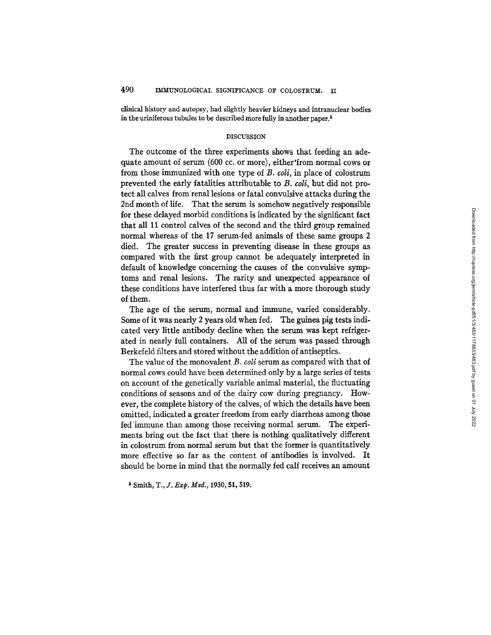clinical history and autopsy, had slightly heavier kidneys and intranuclear bodies in the uriniferous tubules to be described more fully in another paper.<sup>5</sup>

### DISCUSSION

The outcome of the three experiments shows that feeding an adequate amount of serum (600 cc. or more), either'from normal cows or from those immunized with one type of *B. coli*, in place of colostrum prevented the early fatalities attributable to *B. coli,* but did not protect all calves from renal lesions or fatal convulsive attacks during the 2nd month of life. That the serum is somehow negatively responsible for these delayed morbid conditions is indicated by the significant fact that all 11 control calves of the second and the third group remained normal whereas of the 17 serum-fed animals of these same groups 2 died. The greater success in preventing disease in these groups as compared with the first group cannot be adequately interpreted in default of knowledge concerning the causes of the convulsive symptoms and renal lesions. The rarity and unexpected appearance of these conditions have interfered thus far with a more thorough study of them.

The age of the serum, normal and immune, varied considerably. Some of it was nearly 2 years old when fed. The guinea pig tests indicated very little antibody decline when the serum was kept refrigerated in nearly full containers. All of the serum was passed through Berkefeld filters and stored without the addition of antiseptics.

The value of the monovalent *B. coli* serum as compared with that of normal cows could have been determined only by a large series of tests on account of the genetically variable animal material, the fluctuating conditions of seasons and of the dairy cow during pregnancy. However, the complete history of the calves, of which the details have been omitted, indicated a greater freedom from early diarrheas among those fed 'immune than among those receiving normal serum. The experiments bring out the fact that there is nothing qualitatively different in colostrum from normal serum but that the former is quantitatively more effective so far as the content of antibodies is involved. It should be borne in mind that the normally fed calf receives an amount

i Smith, *T., J. Exp. Med.,* 1930, 51,519.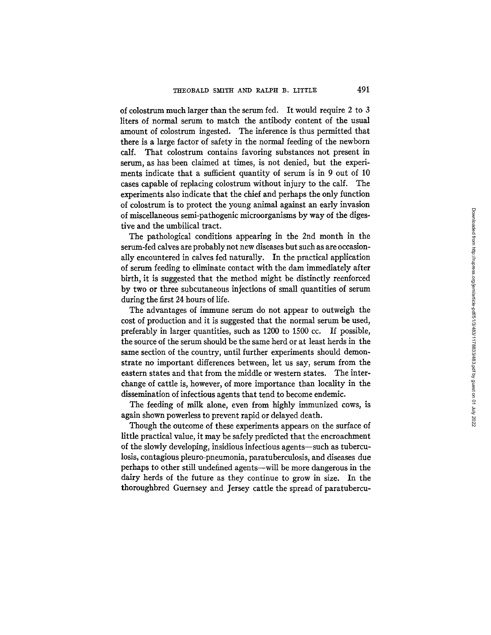of colostrum much larger than the serum fed. It would require 2 to 3 liters of normal serum to match the antibody content of the usual amount of colostrum ingested. The inference is thus permitted that there is a large factor of safety in the normal feeding of the newborn calf. That colostrum contains favoring substances not present in serum, as has been claimed at times, is not denied, but the experiments indicate that a sufficient quantity of serum is in 9 out of 10 cases capable of replacing colostrum without injury to the calf. The experiments also indicate that the chief and perhaps the only function of colostrum is to protect the young animal against an early invasion of miscellaneous semi-pathogenic microorganisms by way of the digestive and the umbilical tract.

The pathological conditions appearing in the 2nd month in the serum-fed calves are probably not new diseases but such as are occasionally encountered in calves fed naturally. In the practical application of serum feeding to eliminate contact with the dam immediately after birth, it is suggested that the method might be distinctly reenforced by two or three subcutaneous injections of small quantities of serum during the first 24 hours of life.

The advantages of immune serum do not appear to outweigh the cost of production and it is suggested that the normal serum be used, preferably in larger quantities, such as 1200 to 1500 cc. If possible, the source of the serum should be the same herd or at least herds in the same section of the country, until further experiments should demonstrate no important differences between, let us say, serum from the eastern states and that from the middle or western states. The interchange of cattle is, however, of more importance than locality in the dissemination of infectious agents that tend to become endemic.

The feeding of milk alone, even from highly immunized cows, is again shown powerless to prevent rapid or delayed death.

Though the outcome of these experiments appears on the surface of little practical value, it may be safely predicted that the encroachment of the slowly developing, insidious infectious agents--such as tuberculosis, contagious pleuro-pneumonia, paratuberculosis, and diseases due perhaps to other still undefined agents--will be more dangerous in the dairy herds of the future as they continue to grow in size. In the thoroughbred Guernsey and Jersey cattle the spread of paratubercu